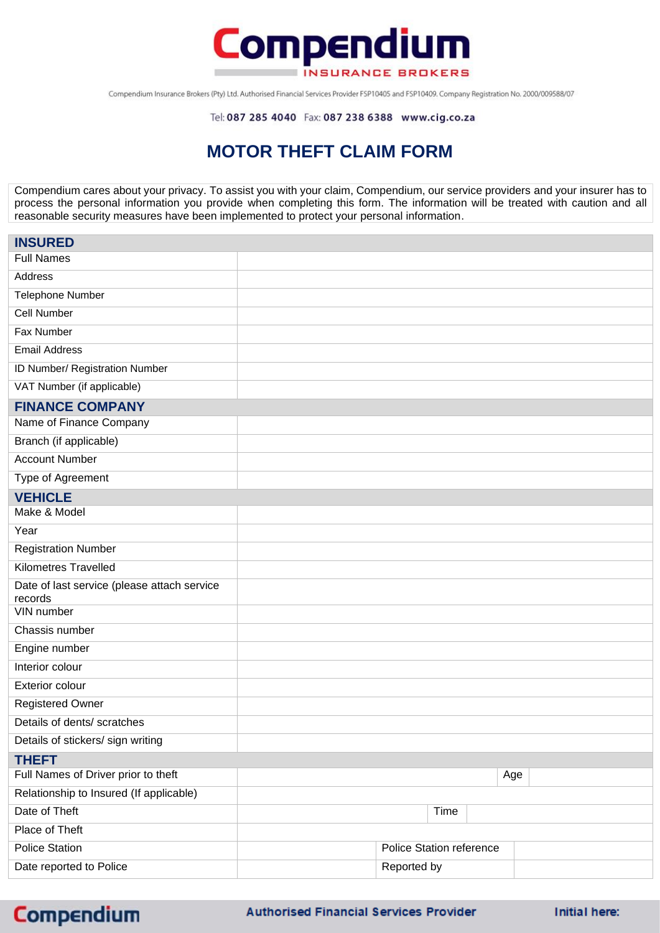

Compendium Insurance Brokers (Pty) Ltd. Authorised Financial Services Provider FSP10405 and FSP10409. Company Registration No. 2000/009588/07

Tel: 087 285 4040 Fax: 087 238 6388 www.cig.co.za

## **MOTOR THEFT CLAIM FORM**

Compendium cares about your privacy. To assist you with your claim, Compendium, our service providers and your insurer has to process the personal information you provide when completing this form. The information will be treated with caution and all reasonable security measures have been implemented to protect your personal information.

| <b>INSURED</b>                              |                          |             |      |     |  |
|---------------------------------------------|--------------------------|-------------|------|-----|--|
| <b>Full Names</b>                           |                          |             |      |     |  |
| Address                                     |                          |             |      |     |  |
| Telephone Number                            |                          |             |      |     |  |
| <b>Cell Number</b>                          |                          |             |      |     |  |
| Fax Number                                  |                          |             |      |     |  |
| <b>Email Address</b>                        |                          |             |      |     |  |
| ID Number/ Registration Number              |                          |             |      |     |  |
| VAT Number (if applicable)                  |                          |             |      |     |  |
| <b>FINANCE COMPANY</b>                      |                          |             |      |     |  |
| Name of Finance Company                     |                          |             |      |     |  |
| Branch (if applicable)                      |                          |             |      |     |  |
| <b>Account Number</b>                       |                          |             |      |     |  |
| Type of Agreement                           |                          |             |      |     |  |
| <b>VEHICLE</b>                              |                          |             |      |     |  |
| Make & Model                                |                          |             |      |     |  |
| Year                                        |                          |             |      |     |  |
| <b>Registration Number</b>                  |                          |             |      |     |  |
| <b>Kilometres Travelled</b>                 |                          |             |      |     |  |
| Date of last service (please attach service |                          |             |      |     |  |
| records<br>VIN number                       |                          |             |      |     |  |
| Chassis number                              |                          |             |      |     |  |
| Engine number                               |                          |             |      |     |  |
| Interior colour                             |                          |             |      |     |  |
| <b>Exterior colour</b>                      |                          |             |      |     |  |
| <b>Registered Owner</b>                     |                          |             |      |     |  |
| Details of dents/ scratches                 |                          |             |      |     |  |
| Details of stickers/ sign writing           |                          |             |      |     |  |
| <b>THEFT</b>                                |                          |             |      |     |  |
| Full Names of Driver prior to theft         |                          |             |      | Age |  |
| Relationship to Insured (If applicable)     |                          |             |      |     |  |
| Date of Theft                               |                          |             | Time |     |  |
| Place of Theft                              |                          |             |      |     |  |
| <b>Police Station</b>                       | Police Station reference |             |      |     |  |
| Date reported to Police                     |                          | Reported by |      |     |  |
|                                             |                          |             |      |     |  |

**Compendium**